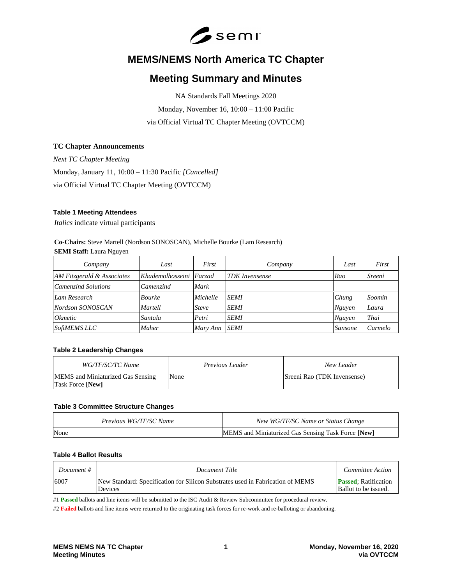

# **MEMS/NEMS North America TC Chapter**

# **Meeting Summary and Minutes**

NA Standards Fall Meetings 2020 Monday, November 16, 10:00 – 11:00 Pacific via Official Virtual TC Chapter Meeting (OVTCCM)

### **TC Chapter Announcements**

*Next TC Chapter Meeting* Monday, January 11, 10:00 – 11:30 Pacific *[Cancelled]* via Official Virtual TC Chapter Meeting (OVTCCM)

#### **Table 1 Meeting Attendees**

*Italics* indicate virtual participants

# **Co-Chairs:** Steve Martell (Nordson SONOSCAN), Michelle Bourke (Lam Research)

**SEMI Staff:** Laura Nguyen

| Company                    | Last                    | First        | Company               | Last    | First   |
|----------------------------|-------------------------|--------------|-----------------------|---------|---------|
| AM Fitzgerald & Associates | Khademolhosseini Farzad |              | <b>TDK</b> Invensense | Rao     | Sreeni  |
| Camenzind Solutions        | Camenzind               | Mark         |                       |         |         |
| Lam Research               | <b>Bourke</b>           | Michelle     | <b>SEMI</b>           | Chung   | Soomin  |
| Nordson SONOSCAN           | Martell                 | <b>Steve</b> | <b>SEMI</b>           | Nguyen  | Laura   |
| <i>Okmetic</i>             | Santala                 | Petri        | <b>SEMI</b>           | Nguyen  | Thai    |
| <b>SoftMEMS LLC</b>        | Maher                   | Mary Ann     | <b>SEMI</b>           | Sansone | Carmelo |

## **Table 2 Leadership Changes**

| WG/TF/SC/TC Name                                                    | <i>Previous Leader</i> | New Leader                  |
|---------------------------------------------------------------------|------------------------|-----------------------------|
| <b>MEMS</b> and Miniaturized Gas Sensing<br><b>Task Force [New]</b> | None                   | Sreeni Rao (TDK Invensense) |

#### **Table 3 Committee Structure Changes**

| Previous WG/TF/SC Name | New WG/TF/SC Name or Status Change                 |
|------------------------|----------------------------------------------------|
| None                   | MEMS and Miniaturized Gas Sensing Task Force [New] |

## **Table 4 Ballot Results**

| Document # | Document Title                                                                                   | <i>Committee Action</i>                             |
|------------|--------------------------------------------------------------------------------------------------|-----------------------------------------------------|
| 6007       | New Standard: Specification for Silicon Substrates used in Fabrication of MEMS<br><b>Devices</b> | <b>Passed:</b> Ratification<br>Ballot to be issued. |

#1 **Passed** ballots and line items will be submitted to the ISC Audit & Review Subcommittee for procedural review.

#2 **Failed** ballots and line items were returned to the originating task forces for re-work and re-balloting or abandoning.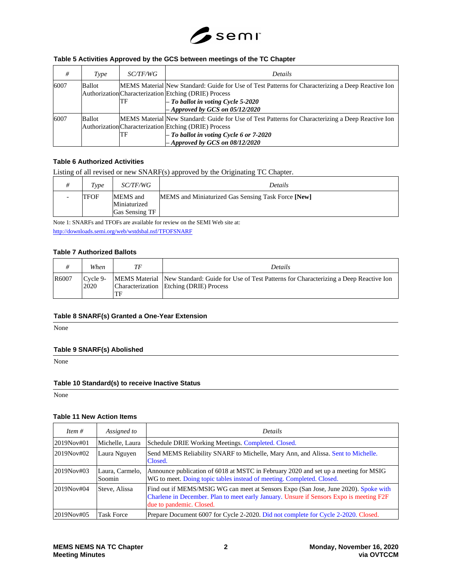

## **Table 5 Activities Approved by the GCS between meetings of the TC Chapter**

| #    | Type   | <i>SC/TF/WG</i> | Details                                                                                                                                                                                                                                      |
|------|--------|-----------------|----------------------------------------------------------------------------------------------------------------------------------------------------------------------------------------------------------------------------------------------|
| 6007 | Ballot | ΠF              | MEMS Material New Standard: Guide for Use of Test Patterns for Characterizing a Deep Reactive Ion<br>Authorization Characterization Etching (DRIE) Process<br>$-$ To ballot in voting Cycle 5-2020<br>$-$ Approved by GCS on 05/12/2020      |
| 6007 | Ballot | ΠF              | MEMS Material New Standard: Guide for Use of Test Patterns for Characterizing a Deep Reactive Ion<br>Authorization Characterization Etching (DRIE) Process<br>$-$ To ballot in voting Cycle 6 or 7-2020<br>$-$ Approved by GCS on 08/12/2020 |

#### **Table 6 Authorized Activities**

Listing of all revised or new SNARF(s) approved by the Originating TC Chapter.

| $T_{VDP}$   | <i>SC/TF/WG</i>                            | Details                                            |
|-------------|--------------------------------------------|----------------------------------------------------|
| <b>TFOF</b> | MEMS and<br>Miniaturized<br>Gas Sensing TF | MEMS and Miniaturized Gas Sensing Task Force [New] |

Note 1: SNARFs and TFOFs are available for review on the SEMI Web site at:

<http://downloads.semi.org/web/wstdsbal.nsf/TFOFSNARF>

#### **Table 7 Authorized Ballots**

|       | When                | ТF  | Details                                                                                                                                      |
|-------|---------------------|-----|----------------------------------------------------------------------------------------------------------------------------------------------|
| R6007 | $C$ vcle 9-<br>2020 | 'TF | MEMS Material New Standard: Guide for Use of Test Patterns for Characterizing a Deep Reactive Ion<br>Characterization Etching (DRIE) Process |

#### **Table 8 SNARF(s) Granted a One-Year Extension**

None

#### **Table 9 SNARF(s) Abolished**

None

#### **Table 10 Standard(s) to receive Inactive Status**

None

#### **Table 11 New Action Items**

| Item $#$   | Assigned to               | <i>Details</i>                                                                                                                                                                                             |
|------------|---------------------------|------------------------------------------------------------------------------------------------------------------------------------------------------------------------------------------------------------|
| 2019Nov#01 | Michelle, Laura           | Schedule DRIE Working Meetings. Completed. Closed.                                                                                                                                                         |
| 2019Nov#02 | Laura Nguyen              | Send MEMS Reliability SNARF to Michelle, Mary Ann, and Alissa. Sent to Michelle.<br>Closed.                                                                                                                |
| 2019Nov#03 | Laura, Carmelo,<br>Soomin | Announce publication of 6018 at MSTC in February 2020 and set up a meeting for MSIG<br>WG to meet. Doing topic tables instead of meeting. Completed. Closed.                                               |
| 2019Nov#04 | Steve, Alissa             | Find out if MEMS/MSIG WG can meet at Sensors Expo (San Jose, June 2020). Spoke with<br>Charlene in December. Plan to meet early January. Unsure if Sensors Expo is meeting F2F<br>due to pandemic. Closed. |
| 2019Nov#05 | <b>Task Force</b>         | Prepare Document 6007 for Cycle 2-2020. Did not complete for Cycle 2-2020. Closed.                                                                                                                         |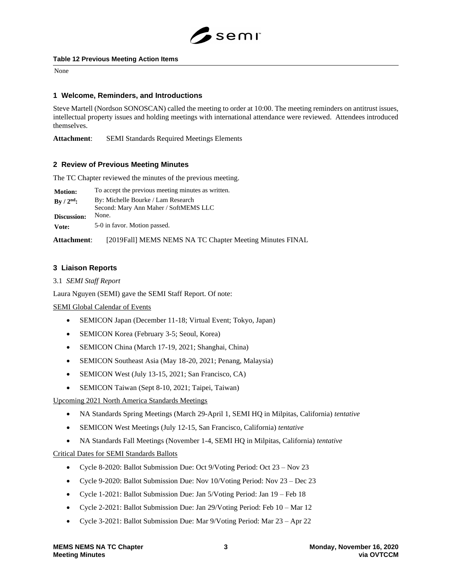

#### **Table 12 Previous Meeting Action Items**

None

## **1 Welcome, Reminders, and Introductions**

Steve Martell (Nordson SONOSCAN) called the meeting to order at 10:00. The meeting reminders on antitrust issues, intellectual property issues and holding meetings with international attendance were reviewed. Attendees introduced themselves.

**Attachment**: SEMI Standards Required Meetings Elements

## **2 Review of Previous Meeting Minutes**

The TC Chapter reviewed the minutes of the previous meeting.

| <b>Motion:</b> | To accept the previous meeting minutes as written.                          |
|----------------|-----------------------------------------------------------------------------|
| $By / 2nd$ :   | By: Michelle Bourke / Lam Research<br>Second: Mary Ann Maher / SoftMEMS LLC |
| Discussion:    | None.                                                                       |
| Vote:          | 5-0 in favor. Motion passed.                                                |

**Attachment**: [2019Fall] MEMS NEMS NA TC Chapter Meeting Minutes FINAL

## **3 Liaison Reports**

3.1 *SEMI Staff Report*

Laura Nguyen (SEMI) gave the SEMI Staff Report. Of note:

SEMI Global Calendar of Events

- SEMICON Japan (December 11-18; Virtual Event; Tokyo, Japan)
- SEMICON Korea (February 3-5; Seoul, Korea)
- SEMICON China (March 17-19, 2021; Shanghai, China)
- SEMICON Southeast Asia (May 18-20, 2021; Penang, Malaysia)
- SEMICON West (July 13-15, 2021; San Francisco, CA)
- SEMICON Taiwan (Sept 8-10, 2021; Taipei, Taiwan)

## Upcoming 2021 North America Standards Meetings

- NA Standards Spring Meetings (March 29-April 1, SEMI HQ in Milpitas, California) *tentative*
- SEMICON West Meetings (July 12-15, San Francisco, California) *tentative*
- NA Standards Fall Meetings (November 1-4, SEMI HQ in Milpitas, California) *tentative*

## Critical Dates for SEMI Standards Ballots

- Cycle 8-2020: Ballot Submission Due: Oct 9/Voting Period: Oct 23 Nov 23
- Cycle 9-2020: Ballot Submission Due: Nov 10/Voting Period: Nov 23 Dec 23
- Cycle 1-2021: Ballot Submission Due: Jan 5/Voting Period: Jan 19 Feb 18
- Cycle 2-2021: Ballot Submission Due: Jan 29/Voting Period: Feb 10 Mar 12
- Cycle 3-2021: Ballot Submission Due: Mar 9/Voting Period: Mar 23 Apr 22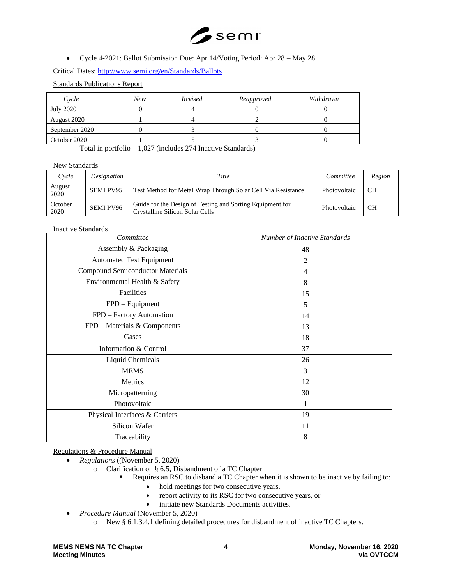

• Cycle 4-2021: Ballot Submission Due: Apr 14/Voting Period: Apr 28 – May 28

Critical Dates:<http://www.semi.org/en/Standards/Ballots>

Standards Publications Report

| Cycle          | New | Revised | Reapproved | Withdrawn |
|----------------|-----|---------|------------|-----------|
| July 2020      |     |         |            |           |
| August 2020    |     |         |            |           |
| September 2020 |     |         |            |           |
| October 2020   |     |         |            |           |

Total in portfolio – 1,027 (includes 274 Inactive Standards)

#### New Standards

| Cycle           | Designation      | Title                                                                                        | Committee    | Region    |
|-----------------|------------------|----------------------------------------------------------------------------------------------|--------------|-----------|
| August<br>2020  | <b>SEMI PV95</b> | Test Method for Metal Wrap Through Solar Cell Via Resistance                                 | Photovoltaic | <b>CH</b> |
| October<br>2020 | <b>SEMI PV96</b> | Guide for the Design of Testing and Sorting Equipment for<br>Crystalline Silicon Solar Cells | Photovoltaic | <b>CH</b> |

Inactive Standards

| Committee                               | Number of Inactive Standards |
|-----------------------------------------|------------------------------|
| Assembly & Packaging                    | 48                           |
| <b>Automated Test Equipment</b>         | $\overline{2}$               |
| <b>Compound Semiconductor Materials</b> | 4                            |
| Environmental Health & Safety           | 8                            |
| Facilities                              | 15                           |
| FPD - Equipment                         | 5                            |
| FPD - Factory Automation                | 14                           |
| FPD - Materials & Components            | 13                           |
| Gases                                   | 18                           |
| Information & Control                   | 37                           |
| Liquid Chemicals                        | 26                           |
| <b>MEMS</b>                             | 3                            |
| Metrics                                 | 12                           |
| Micropatterning                         | 30                           |
| Photovoltaic                            | 1                            |
| Physical Interfaces & Carriers          | 19                           |
| Silicon Wafer                           | 11                           |
| Traceability                            | 8                            |

Regulations & Procedure Manual

- *Regulations* ((November 5, 2020)
	- o Clarification on § 6.5, Disbandment of a TC Chapter
		- Requires an RSC to disband a TC Chapter when it is shown to be inactive by failing to:
			- hold meetings for two consecutive years,
			- report activity to its RSC for two consecutive years, or
			- initiate new Standards Documents activities.
- *Procedure Manual* (November 5, 2020)
	- o New § 6.1.3.4.1 defining detailed procedures for disbandment of inactive TC Chapters.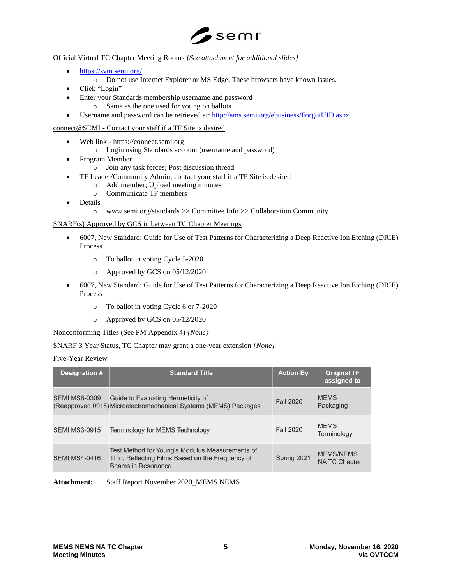

Official Virtual TC Chapter Meeting Rooms *{See attachment for additional slides}*

- <https://svm.semi.org/>
	- o Do not use Internet Explorer or MS Edge. These browsers have known issues.
- Click "Login"
- Enter your Standards membership username and password o Same as the one used for voting on ballots
- Username and password can be retrieved at:<http://ams.semi.org/ebusiness/ForgotUID.aspx>

## connect@SEMI - Contact your staff if a TF Site is desired

- Web link https://connect.semi.org
	- o Login using Standards account (username and password)
- Program Member
	- o Join any task forces; Post discussion thread
- TF Leader/Community Admin; contact your staff if a TF Site is desired
	- o Add member; Upload meeting minutes
	- o Communicate TF members
- Details
	- o www.semi.org/standards >> Committee Info >> Collaboration Community

## SNARF(s) Approved by GCS in between TC Chapter Meetings

- 6007, New Standard: Guide for Use of Test Patterns for Characterizing a Deep Reactive Ion Etching (DRIE) Process
	- o To ballot in voting Cycle 5-2020
	- o Approved by GCS on 05/12/2020
- 6007, New Standard: Guide for Use of Test Patterns for Characterizing a Deep Reactive Ion Etching (DRIE) Process
	- o To ballot in voting Cycle 6 or 7-2020
	- o Approved by GCS on 05/12/2020

Nonconforming Titles (See PM Appendix 4) *{None}*

## SNARF 3 Year Status, TC Chapter may grant a one-year extension *{None}*

## Five-Year Review

| Designation #        | <b>Standard Title</b>                                                                                                     | <b>Action By</b> | <b>Original TF</b><br>assigned to       |
|----------------------|---------------------------------------------------------------------------------------------------------------------------|------------------|-----------------------------------------|
| <b>SEMI MS8-0309</b> | Guide to Evaluating Hermeticity of<br>(Reapproved 0915) Microelectromechanical Systems (MEMS) Packages                    | <b>Fall 2020</b> | <b>MEMS</b><br>Packaging                |
| <b>SEMI MS3-0915</b> | Terminology for MEMS Technology                                                                                           | <b>Fall 2020</b> | <b>MEMS</b><br>Terminology              |
| <b>SEMI MS4-0416</b> | Test Method for Young's Modulus Measurements of<br>Thin, Reflecting Films Based on the Frequency of<br>Beams in Resonance | Spring 2021      | <b>MEMS/NEMS</b><br><b>NATC Chapter</b> |

**Attachment:** Staff Report November 2020\_MEMS NEMS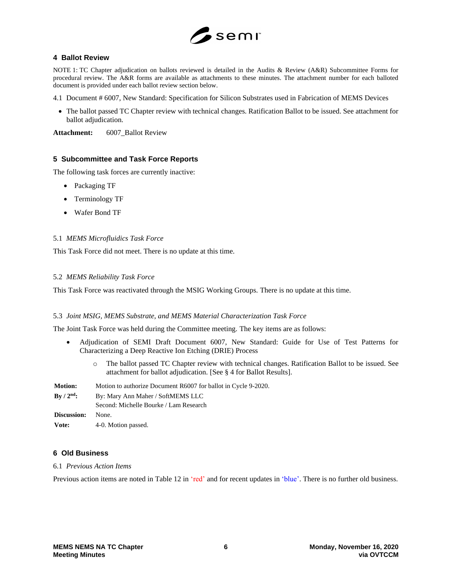

#### **4 Ballot Review**

NOTE 1: TC Chapter adjudication on ballots reviewed is detailed in the Audits & Review (A&R) Subcommittee Forms for procedural review. The A&R forms are available as attachments to these minutes. The attachment number for each balloted document is provided under each ballot review section below.

- 4.1 Document # 6007, New Standard: Specification for Silicon Substrates used in Fabrication of MEMS Devices
	- The ballot passed TC Chapter review with technical changes. Ratification Ballot to be issued. See attachment for ballot adjudication.

**Attachment:** 6007\_Ballot Review

## **5 Subcommittee and Task Force Reports**

The following task forces are currently inactive:

- Packaging TF
- Terminology TF
- Wafer Bond TF

#### 5.1 *MEMS Microfluidics Task Force*

This Task Force did not meet. There is no update at this time.

#### 5.2 *MEMS Reliability Task Force*

This Task Force was reactivated through the MSIG Working Groups. There is no update at this time.

#### 5.3 *Joint MSIG, MEMS Substrate, and MEMS Material Characterization Task Force*

The Joint Task Force was held during the Committee meeting. The key items are as follows:

- Adjudication of SEMI Draft Document 6007, New Standard: Guide for Use of Test Patterns for Characterizing a Deep Reactive Ion Etching (DRIE) Process
	- o The ballot passed TC Chapter review with technical changes. Ratification Ballot to be issued. See attachment for ballot adjudication. [See § 4 for Ballot Results].

| <b>Motion:</b>              | Motion to authorize Document R6007 for ballot in Cycle 9-2020. |  |
|-----------------------------|----------------------------------------------------------------|--|
| $\rm{Bv}$ / $\rm{2^{nd}}$ : | By: Mary Ann Maher / SoftMEMS LLC                              |  |
|                             | Second: Michelle Bourke / Lam Research                         |  |
| Discussion:                 | None.                                                          |  |
| Vote:                       | 4-0. Motion passed.                                            |  |

## **6 Old Business**

6.1 *Previous Action Items*

Previous action items are noted in Table 12 in 'red' and for recent updates in 'blue'. There is no further old business.